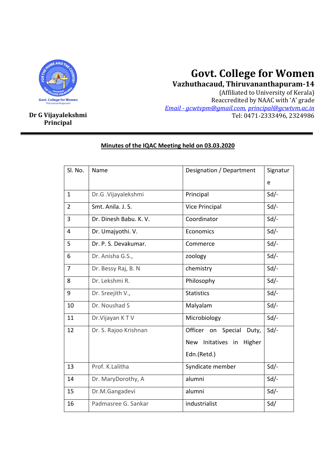

# **Govt. College for Women**

**Vazhuthacaud, Thiruvananthapuram-14**

(Affiliated to University of Kerala) Reaccredited by NAAC with 'A' grade *Email - gcwtvpm@gmail.com, principal@gcwtvm.ac.in* **Dr G Vijayalekshmi** Tel: 0471-2333496, 2324986

# **Principal**

| Sl. No.        | Name                   | Designation / Department              | Signatur |
|----------------|------------------------|---------------------------------------|----------|
|                |                        |                                       | e        |
| $\mathbf{1}$   | Dr.G.Vijayalekshmi     | Principal                             | $Sd$ /-  |
| $\overline{2}$ | Smt. Anila. J. S.      | <b>Vice Principal</b>                 | $Sd$ /-  |
| 3              | Dr. Dinesh Babu. K. V. | Coordinator                           | $Sd$ /-  |
| $\overline{4}$ | Dr. Umajyothi. V.      | Economics                             | $Sd/-$   |
| 5              | Dr. P. S. Devakumar.   | Commerce                              | $Sd/-$   |
| 6              | Dr. Anisha G.S.,       | zoology                               | $Sd$ /-  |
| $\overline{7}$ | Dr. Bessy Raj, B. N    | chemistry                             | $Sd$ /-  |
| 8              | Dr. Lekshmi R.         | Philosophy                            | $Sd$ /-  |
| 9              | Dr. Sreejith V.,       | <b>Statistics</b>                     | $Sd$ /-  |
| 10             | Dr. Noushad S          | Malyalam                              | $Sd$ /-  |
| 11             | Dr. Vijayan KTV        | Microbiology                          | $Sd/-$   |
| 12             | Dr. S. Rajoo Krishnan  | Officer on Special<br>Duty,           | $Sd$ /-  |
|                |                        | Initatives in<br>Higher<br><b>New</b> |          |
|                |                        | Edn.(Retd.)                           |          |
| 13             | Prof. K.Lalitha        | Syndicate member                      | $Sd$ /-  |
| 14             | Dr. MaryDorothy, A     | alumni                                | Sd       |
| 15             | Dr.M.Gangadevi         | alumni                                | $Sd$ /-  |
| 16             | Padmasree G. Sankar    | industrialist                         | Sd/      |

## **Minutes of the IQAC Meeting held on 03.03.2020**